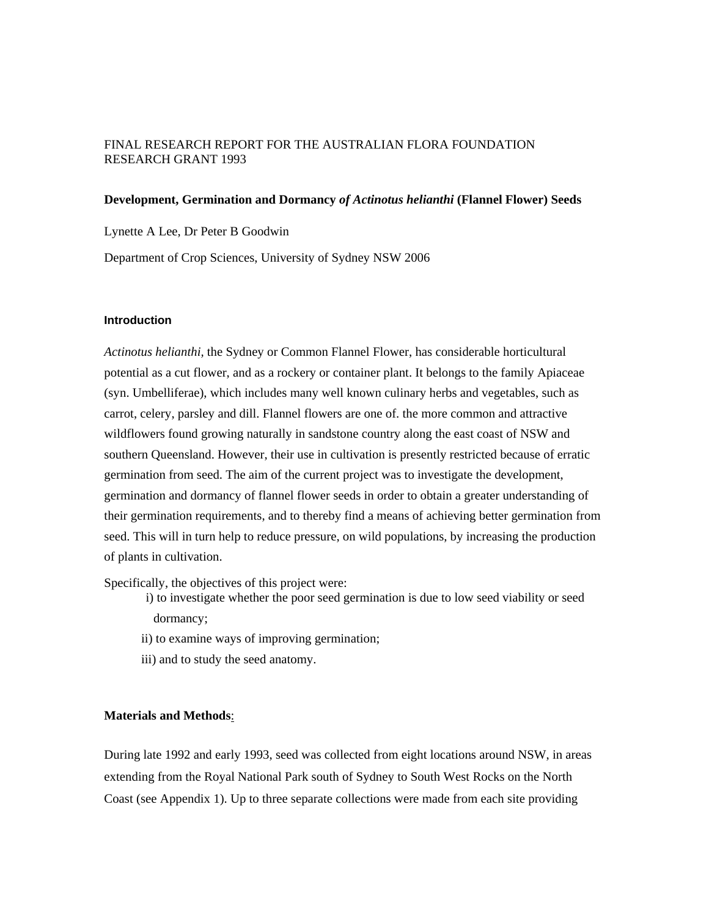## FINAL RESEARCH REPORT FOR THE AUSTRALIAN FLORA FOUNDATION RESEARCH GRANT 1993

### **Development, Germination and Dormancy** *of Actinotus helianthi* **(Flannel Flower) Seeds**

Lynette A Lee, Dr Peter B Goodwin

Department of Crop Sciences, University of Sydney NSW 2006

#### **Introduction**

*Actinotus helianthi,* the Sydney or Common Flannel Flower, has considerable horticultural potential as a cut flower, and as a rockery or container plant. It belongs to the family Apiaceae (syn. Umbelliferae), which includes many well known culinary herbs and vegetables, such as carrot, celery, parsley and dill. Flannel flowers are one of. the more common and attractive wildflowers found growing naturally in sandstone country along the east coast of NSW and southern Queensland. However, their use in cultivation is presently restricted because of erratic germination from seed. The aim of the current project was to investigate the development, germination and dormancy of flannel flower seeds in order to obtain a greater understanding of their germination requirements, and to thereby find a means of achieving better germination from seed. This will in turn help to reduce pressure, on wild populations, by increasing the production of plants in cultivation.

Specifically, the objectives of this project were:

- i) to investigate whether the poor seed germination is due to low seed viability or seed dormancy;
- ii) to examine ways of improving germination;
- iii) and to study the seed anatomy.

## **Materials and Methods**:

During late 1992 and early 1993, seed was collected from eight locations around NSW, in areas extending from the Royal National Park south of Sydney to South West Rocks on the North Coast (see Appendix 1). Up to three separate collections were made from each site providing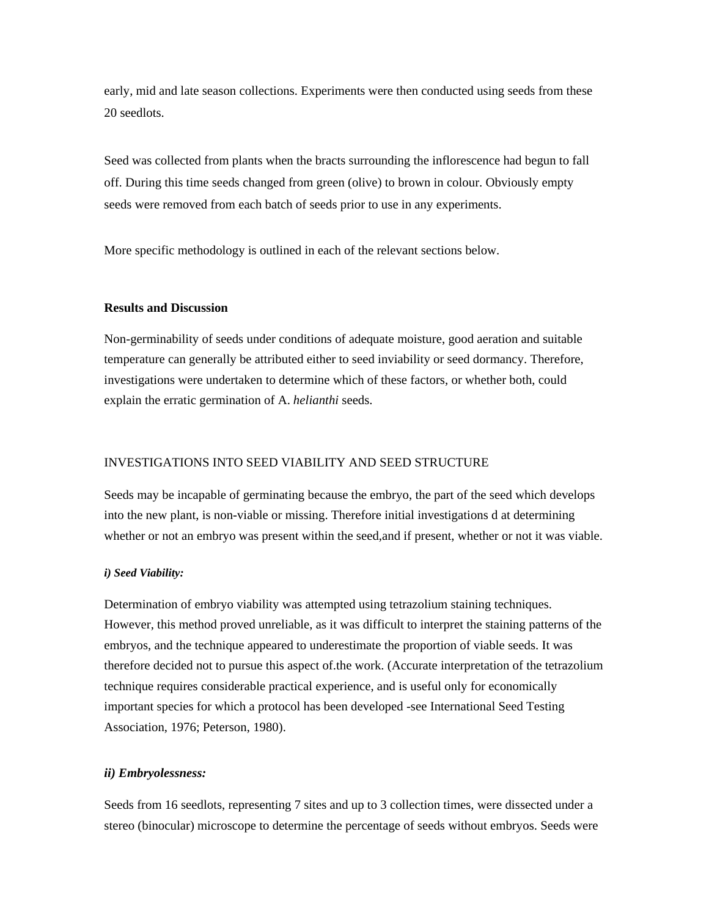early, mid and late season collections. Experiments were then conducted using seeds from these 20 seedlots.

Seed was collected from plants when the bracts surrounding the inflorescence had begun to fall off. During this time seeds changed from green (olive) to brown in colour. Obviously empty seeds were removed from each batch of seeds prior to use in any experiments.

More specific methodology is outlined in each of the relevant sections below.

#### **Results and Discussion**

Non-germinability of seeds under conditions of adequate moisture, good aeration and suitable temperature can generally be attributed either to seed inviability or seed dormancy. Therefore, investigations were undertaken to determine which of these factors, or whether both, could explain the erratic germination of A. *helianthi* seeds.

### INVESTIGATIONS INTO SEED VIABILITY AND SEED STRUCTURE

Seeds may be incapable of germinating because the embryo, the part of the seed which develops into the new plant, is non-viable or missing. Therefore initial investigations d at determining whether or not an embryo was present within the seed,and if present, whether or not it was viable.

## *i) Seed Viability:*

Determination of embryo viability was attempted using tetrazolium staining techniques. However, this method proved unreliable, as it was difficult to interpret the staining patterns of the embryos, and the technique appeared to underestimate the proportion of viable seeds. It was therefore decided not to pursue this aspect of.the work. (Accurate interpretation of the tetrazolium technique requires considerable practical experience, and is useful only for economically important species for which a protocol has been developed -see International Seed Testing Association, 1976; Peterson, 1980).

#### *ii) Embryolessness:*

Seeds from 16 seedlots, representing 7 sites and up to 3 collection times, were dissected under a stereo (binocular) microscope to determine the percentage of seeds without embryos. Seeds were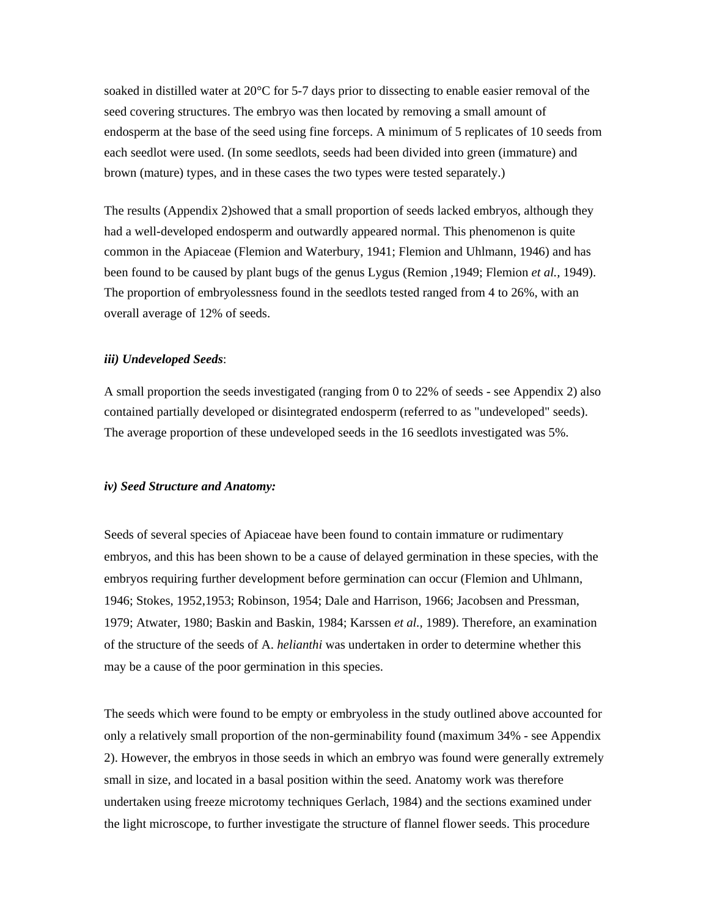soaked in distilled water at 20°C for 5-7 days prior to dissecting to enable easier removal of the seed covering structures. The embryo was then located by removing a small amount of endosperm at the base of the seed using fine forceps. A minimum of 5 replicates of 10 seeds from each seedlot were used. (In some seedlots, seeds had been divided into green (immature) and brown (mature) types, and in these cases the two types were tested separately.)

The results (Appendix 2)showed that a small proportion of seeds lacked embryos, although they had a well-developed endosperm and outwardly appeared normal. This phenomenon is quite common in the Apiaceae (Flemion and Waterbury, 1941; Flemion and Uhlmann, 1946) and has been found to be caused by plant bugs of the genus Lygus (Remion ,1949; Flemion *et al.,* 1949). The proportion of embryolessness found in the seedlots tested ranged from 4 to 26%, with an overall average of 12% of seeds.

#### *iii) Undeveloped Seeds*:

A small proportion the seeds investigated (ranging from 0 to 22% of seeds - see Appendix 2) also contained partially developed or disintegrated endosperm (referred to as "undeveloped" seeds). The average proportion of these undeveloped seeds in the 16 seedlots investigated was 5%.

#### *iv) Seed Structure and Anatomy:*

Seeds of several species of Apiaceae have been found to contain immature or rudimentary embryos, and this has been shown to be a cause of delayed germination in these species, with the embryos requiring further development before germination can occur (Flemion and Uhlmann, 1946; Stokes, 1952,1953; Robinson, 1954; Dale and Harrison, 1966; Jacobsen and Pressman, 1979; Atwater, 1980; Baskin and Baskin, 1984; Karssen *et al.,* 1989). Therefore, an examination of the structure of the seeds of A. *helianthi* was undertaken in order to determine whether this may be a cause of the poor germination in this species.

The seeds which were found to be empty or embryoless in the study outlined above accounted for only a relatively small proportion of the non-germinability found (maximum 34% *-* see Appendix 2). However, the embryos in those seeds in which an embryo was found were generally extremely small in size, and located in a basal position within the seed. Anatomy work was therefore undertaken using freeze microtomy techniques Gerlach, 1984) and the sections examined under the light microscope, to further investigate the structure of flannel flower seeds. This procedure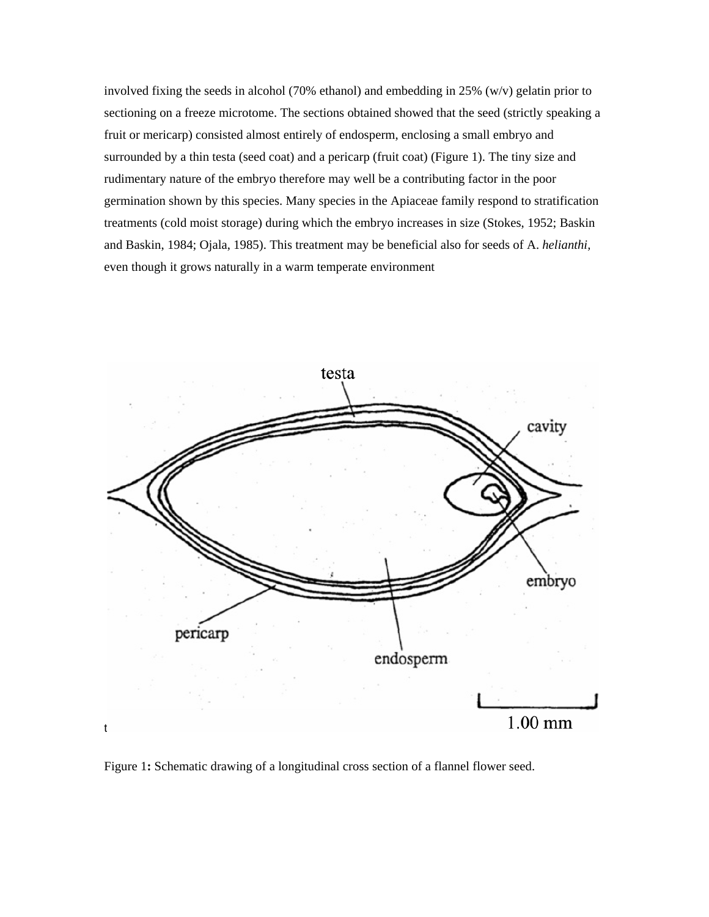involved fixing the seeds in alcohol (70% ethanol) and embedding in 25%  $(w/v)$  gelatin prior to sectioning on a freeze microtome. The sections obtained showed that the seed (strictly speaking a fruit or mericarp) consisted almost entirely of endosperm, enclosing a small embryo and surrounded by a thin testa (seed coat) and a pericarp (fruit coat) (Figure 1). The tiny size and rudimentary nature of the embryo therefore may well be a contributing factor in the poor germination shown by this species. Many species in the Apiaceae family respond to stratification treatments (cold moist storage) during which the embryo increases in size (Stokes, 1952; Baskin and Baskin, 1984; Ojala, 1985). This treatment may be beneficial also for seeds of A. *helianthi,* even though it grows naturally in a warm temperate environment



Figure 1**:** Schematic drawing of a longitudinal cross section of a flannel flower seed.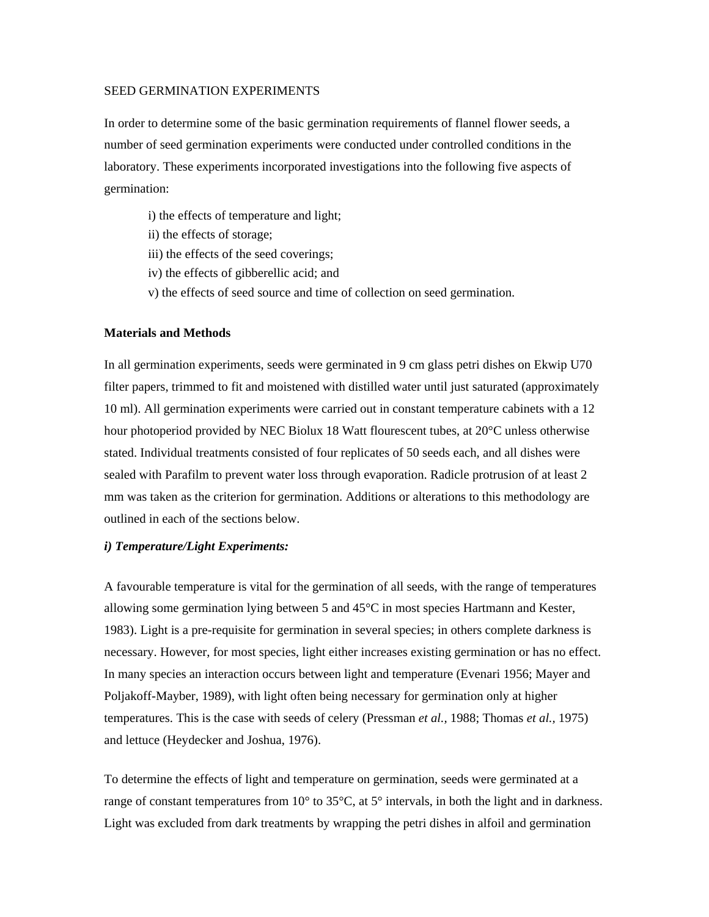#### SEED GERMINATION EXPERIMENTS

In order to determine some of the basic germination requirements of flannel flower seeds, a number of seed germination experiments were conducted under controlled conditions in the laboratory. These experiments incorporated investigations into the following five aspects of germination:

- i) the effects of temperature and light;
- ii) the effects of storage;
- iii) the effects of the seed coverings;
- iv) the effects of gibberellic acid; and
- v) the effects of seed source and time of collection on seed germination.

### **Materials and Methods**

In all germination experiments, seeds were germinated in 9 cm glass petri dishes on Ekwip U70 filter papers, trimmed to fit and moistened with distilled water until just saturated (approximately 10 ml). All germination experiments were carried out in constant temperature cabinets with a 12 hour photoperiod provided by NEC Biolux 18 Watt flourescent tubes, at 20°C unless otherwise stated. Individual treatments consisted of four replicates of 50 seeds each, and all dishes were sealed with Parafilm to prevent water loss through evaporation. Radicle protrusion of at least 2 mm was taken as the criterion for germination. Additions or alterations to this methodology are outlined in each of the sections below.

#### *i) Temperature/Light Experiments:*

A favourable temperature is vital for the germination of all seeds, with the range of temperatures allowing some germination lying between 5 and  $45^{\circ}$ C in most species Hartmann and Kester, 1983). Light is a pre-requisite for germination in several species; in others complete darkness is necessary. However, for most species, light either increases existing germination or has no effect. In many species an interaction occurs between light and temperature (Evenari 1956; Mayer and Poljakoff-Mayber, 1989), with light often being necessary for germination only at higher temperatures. This is the case with seeds of celery (Pressman *et al.,* 1988; Thomas *et al.,* 1975) and lettuce (Heydecker and Joshua, 1976).

To determine the effects of light and temperature on germination, seeds were germinated at a range of constant temperatures from 10° to 35°C, at 5° intervals, in both the light and in darkness. Light was excluded from dark treatments by wrapping the petri dishes in alfoil and germination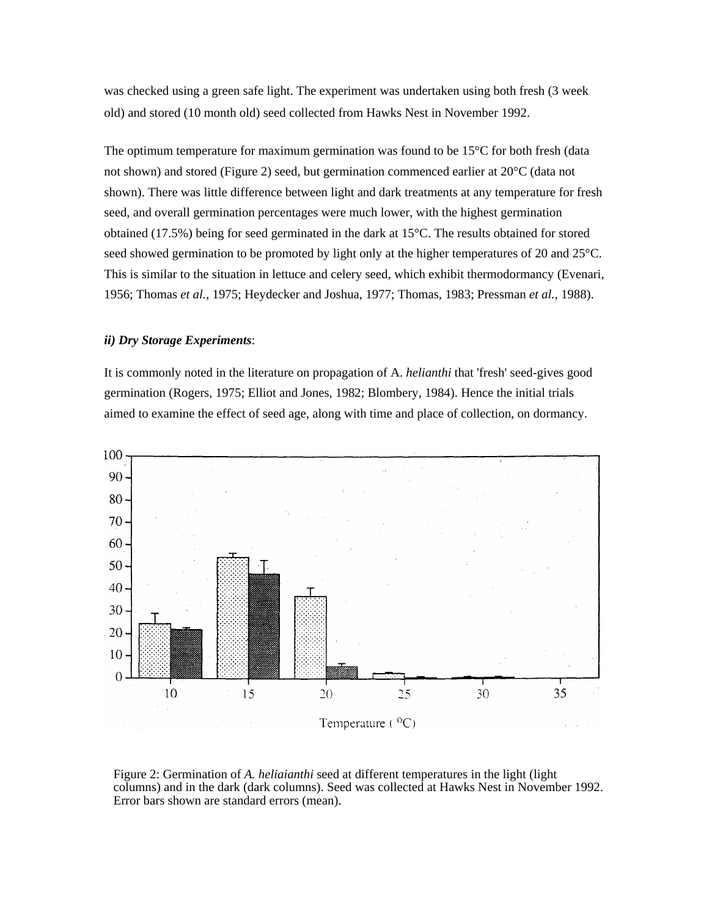was checked using a green safe light. The experiment was undertaken using both fresh (3 week old) and stored (10 month old) seed collected from Hawks Nest in November 1992.

The optimum temperature for maximum germination was found to be  $15^{\circ}$ C for both fresh (data not shown) and stored (Figure 2) seed, but germination commenced earlier at 20°C (data not shown). There was little difference between light and dark treatments at any temperature for fresh seed, and overall germination percentages were much lower, with the highest germination obtained (17.5%) being for seed germinated in the dark at 15°C. The results obtained for stored seed showed germination to be promoted by light only at the higher temperatures of 20 and 25<sup>o</sup>C. This is similar to the situation in lettuce and celery seed, which exhibit thermodormancy (Evenari, 1956; Thomas *et al.,* 1975; Heydecker and Joshua, 1977; Thomas, 1983; Pressman *et al.,* 1988).

## *ii) Dry Storage Experiments*:

It is commonly noted in the literature on propagation of A. *helianthi* that 'fresh' seed-gives good germination (Rogers, 1975; Elliot and Jones, 1982; Blombery, 1984). Hence the initial trials aimed to examine the effect of seed age, along with time and place of collection, on dormancy.



Figure 2: Germination of *A. heliaianthi* seed at different temperatures in the light (light columns) and in the dark (dark columns). Seed was collected at Hawks Nest in November 1992. Error bars shown are standard errors (mean).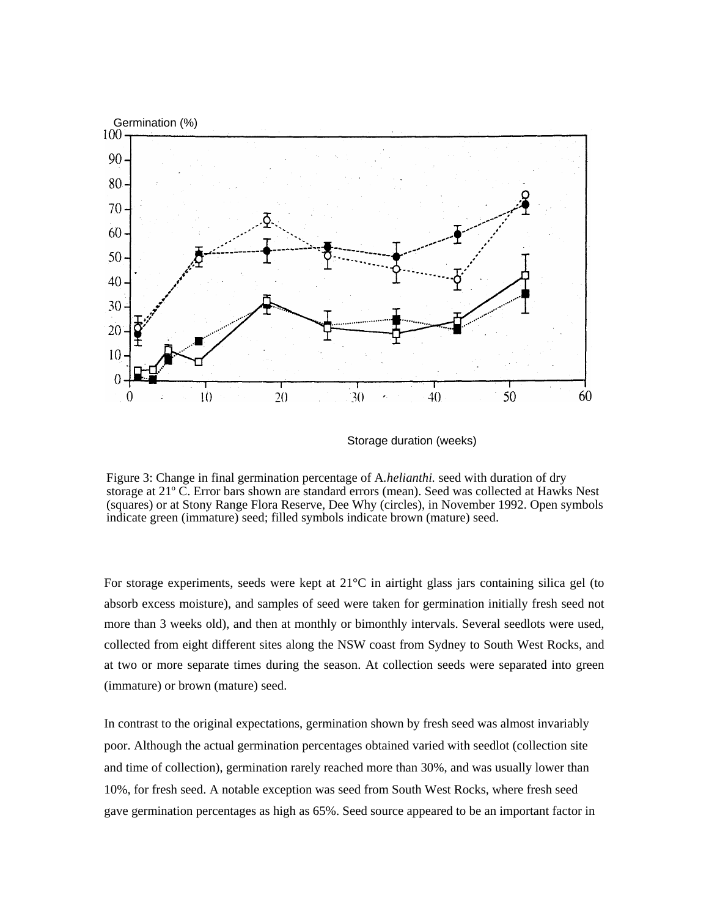

Storage duration (weeks)

Figure 3: Change in final germination percentage of A*.helianthi.* seed with duration of dry storage at 21º C. Error bars shown are standard errors (mean). Seed was collected at Hawks Nest (squares) or at Stony Range Flora Reserve, Dee Why (circles), in November 1992. Open symbols indicate green (immature) seed; filled symbols indicate brown (mature) seed.

For storage experiments, seeds were kept at  $21^{\circ}$ C in airtight glass jars containing silica gel (to absorb excess moisture), and samples of seed were taken for germination initially fresh seed not more than 3 weeks old), and then at monthly or bimonthly intervals. Several seedlots were used, collected from eight different sites along the NSW coast from Sydney to South West Rocks, and at two or more separate times during the season. At collection seeds were separated into green (immature) or brown (mature) seed.

In contrast to the original expectations, germination shown by fresh seed was almost invariably poor. Although the actual germination percentages obtained varied with seedlot (collection site and time of collection), germination rarely reached more than 30%, and was usually lower than 10%, for fresh seed. A notable exception was seed from South West Rocks, where fresh seed gave germination percentages as high as 65%. Seed source appeared to be an important factor in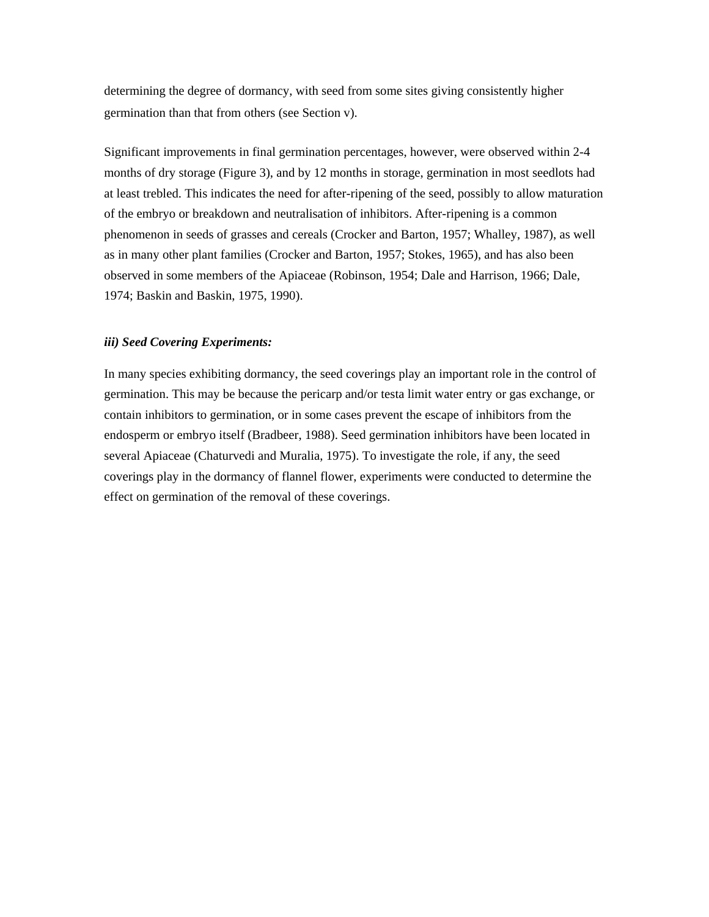determining the degree of dormancy, with seed from some sites giving consistently higher germination than that from others (see Section v).

Significant improvements in final germination percentages, however, were observed within 2-4 months of dry storage (Figure 3), and by 12 months in storage, germination in most seedlots had at least trebled. This indicates the need for after-ripening of the seed, possibly to allow maturation of the embryo or breakdown and neutralisation of inhibitors. After-ripening is a common phenomenon in seeds of grasses and cereals (Crocker and Barton, 1957; Whalley, 1987), as well as in many other plant families (Crocker and Barton, 1957; Stokes, 1965), and has also been observed in some members of the Apiaceae (Robinson, 1954; Dale and Harrison, 1966; Dale, 1974; Baskin and Baskin, 1975, 1990).

## *iii) Seed Covering Experiments:*

In many species exhibiting dormancy, the seed coverings play an important role in the control of germination. This may be because the pericarp and/or testa limit water entry or gas exchange, or contain inhibitors to germination, or in some cases prevent the escape of inhibitors from the endosperm or embryo itself (Bradbeer, 1988). Seed germination inhibitors have been located in several Apiaceae (Chaturvedi and Muralia, 1975). To investigate the role, if any, the seed coverings play in the dormancy of flannel flower, experiments were conducted to determine the effect on germination of the removal of these coverings.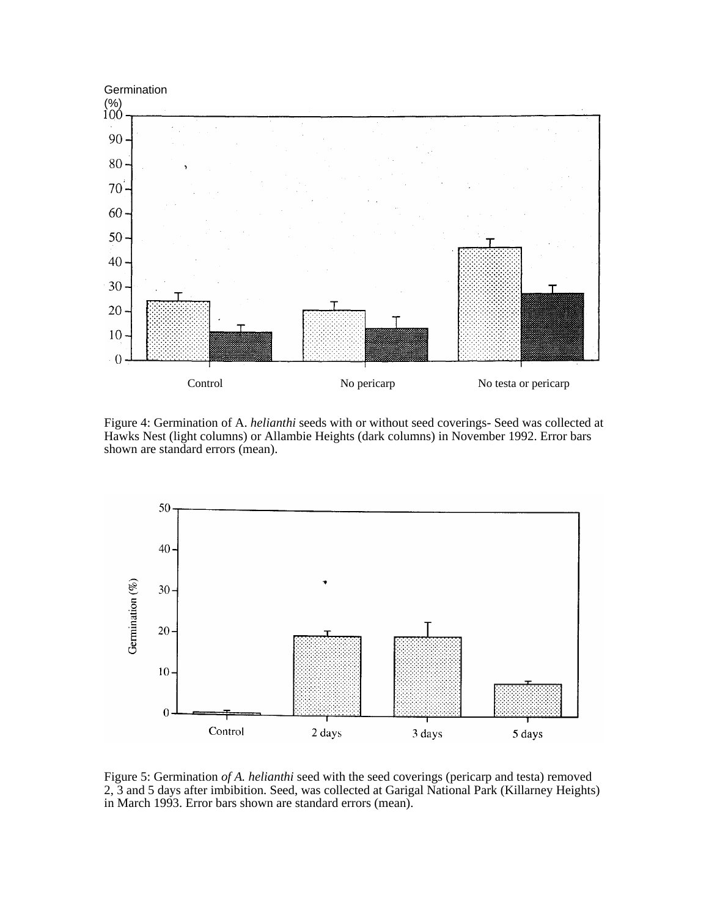

Figure 4: Germination of A. *helianthi* seeds with or without seed coverings- Seed was collected at Hawks Nest (light columns) or Allambie Heights (dark columns) in November 1992. Error bars shown are standard errors (mean).



Figure 5: Germination *of A. helianthi* seed with the seed coverings (pericarp and testa) removed 2, 3 and 5 days after imbibition. Seed, was collected at Garigal National Park (Killarney Heights) in March 1993. Error bars shown are standard errors (mean).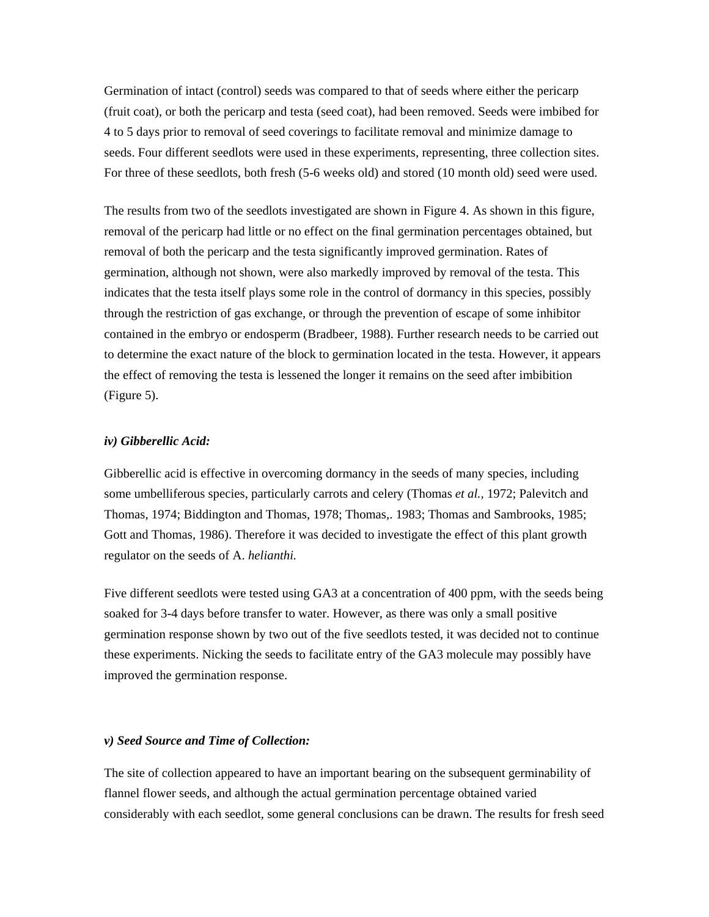Germination of intact (control) seeds was compared to that of seeds where either the pericarp (fruit coat), or both the pericarp and testa (seed coat), had been removed. Seeds were imbibed for 4 to 5 days prior to removal of seed coverings to facilitate removal and minimize damage to seeds. Four different seedlots were used in these experiments, representing, three collection sites. For three of these seedlots, both fresh (5-6 weeks old) and stored (10 month old) seed were used.

The results from two of the seedlots investigated are shown in Figure 4. As shown in this figure, removal of the pericarp had little or no effect on the final germination percentages obtained, but removal of both the pericarp and the testa significantly improved germination. Rates of germination, although not shown, were also markedly improved by removal of the testa. This indicates that the testa itself plays some role in the control of dormancy in this species, possibly through the restriction of gas exchange, or through the prevention of escape of some inhibitor contained in the embryo or endosperm (Bradbeer, 1988). Further research needs to be carried out to determine the exact nature of the block to germination located in the testa. However, it appears the effect of removing the testa is lessened the longer it remains on the seed after imbibition (Figure 5).

### *iv) Gibberellic Acid:*

Gibberellic acid is effective in overcoming dormancy in the seeds of many species, including some umbelliferous species, particularly carrots and celery (Thomas *et al.,* 1972; Palevitch and Thomas, 1974; Biddington and Thomas, 1978; Thomas,. 1983; Thomas and Sambrooks, 1985; Gott and Thomas, 1986). Therefore it was decided to investigate the effect of this plant growth regulator on the seeds of A. *helianthi.*

Five different seedlots were tested using GA3 at a concentration of 400 ppm, with the seeds being soaked for 3-4 days before transfer to water. However, as there was only a small positive germination response shown by two out of the five seedlots tested, it was decided not to continue these experiments. Nicking the seeds to facilitate entry of the GA3 molecule may possibly have improved the germination response.

#### *v) Seed Source and Time of Collection:*

The site of collection appeared to have an important bearing on the subsequent germinability of flannel flower seeds, and although the actual germination percentage obtained varied considerably with each seedlot, some general conclusions can be drawn. The results for fresh seed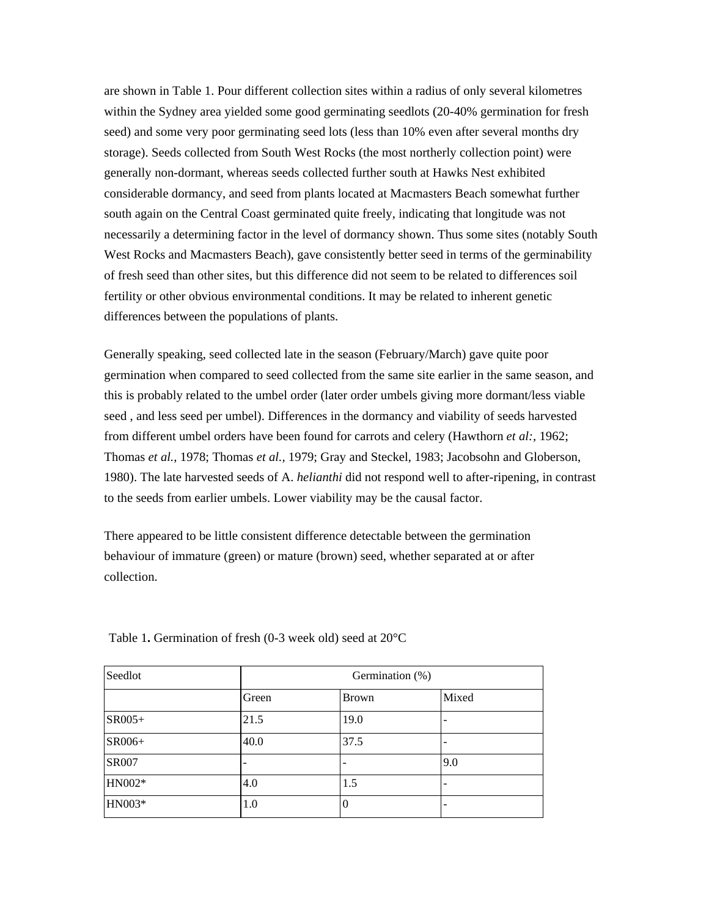are shown in Table 1. Pour different collection sites within a radius of only several kilometres within the Sydney area yielded some good germinating seedlots (20-40% germination for fresh seed) and some very poor germinating seed lots (less than 10% even after several months dry storage). Seeds collected from South West Rocks (the most northerly collection point) were generally non-dormant, whereas seeds collected further south at Hawks Nest exhibited considerable dormancy, and seed from plants located at Macmasters Beach somewhat further south again on the Central Coast germinated quite freely, indicating that longitude was not necessarily a determining factor in the level of dormancy shown. Thus some sites (notably South West Rocks and Macmasters Beach), gave consistently better seed in terms of the germinability of fresh seed than other sites, but this difference did not seem to be related to differences soil fertility or other obvious environmental conditions. It may be related to inherent genetic differences between the populations of plants.

Generally speaking, seed collected late in the season (February/March) gave quite poor germination when compared to seed collected from the same site earlier in the same season, and this is probably related to the umbel order (later order umbels giving more dormant/less viable seed , and less seed per umbel). Differences in the dormancy and viability of seeds harvested from different umbel orders have been found for carrots and celery (Hawthorn *et al:,* 1962; Thomas *et al.,* 1978; Thomas *et al.,* 1979; Gray and Steckel, 1983; Jacobsohn and Globerson, 1980). The late harvested seeds of A. *helianthi* did not respond well to after-ripening, in contrast to the seeds from earlier umbels. Lower viability may be the causal factor.

There appeared to be little consistent difference detectable between the germination behaviour of immature (green) or mature (brown) seed, whether separated at or after collection.

| Seedlot      | Germination (%) |              |       |
|--------------|-----------------|--------------|-------|
|              | Green           | <b>Brown</b> | Mixed |
| SR005+       | 21.5            | 19.0         |       |
| SR006+       | 40.0            | 37.5         |       |
| <b>SR007</b> |                 |              | 9.0   |
| HN002*       | 4.0             | 1.5          |       |
| HN003*       | 1.0             |              |       |

Table 1**.** Germination of fresh (0-3 week old) seed at 20°C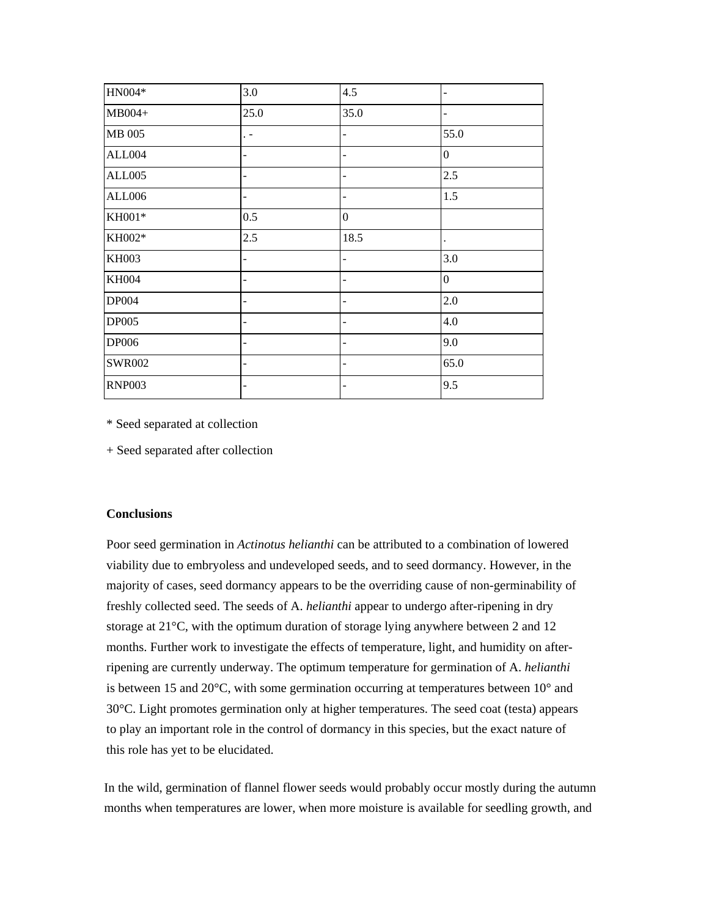| HN004*        | 3.0                      | 4.5                      |                |
|---------------|--------------------------|--------------------------|----------------|
| MB004+        | 25.0                     | 35.0                     |                |
| MB 005        | $\ddot{\phantom{1}}$     | $\overline{\phantom{a}}$ | 55.0           |
| ALL004        |                          |                          | $\mathbf{0}$   |
| <b>ALL005</b> |                          |                          | 2.5            |
| <b>ALL006</b> |                          |                          | 1.5            |
| $\rm KH001*$  | 0.5                      | $\mathbf{0}$             |                |
| KH002*        | 2.5                      | 18.5                     |                |
| <b>KH003</b>  | $\overline{\phantom{0}}$ | $\overline{a}$           | 3.0            |
| <b>KH004</b>  | -                        | $\overline{a}$           | $\overline{0}$ |
| DP004         |                          |                          | 2.0            |
| <b>DP005</b>  | $\overline{\phantom{0}}$ | $\qquad \qquad -$        | 4.0            |
| DP006         |                          |                          | 9.0            |
| <b>SWR002</b> | $\overline{\phantom{0}}$ | $\overline{\phantom{a}}$ | 65.0           |
| <b>RNP003</b> |                          |                          | 9.5            |

\* Seed separated at collection

+ Seed separated after collection

### **Conclusions**

Poor seed germination in *Actinotus helianthi* can be attributed to a combination of lowered viability due to embryoless and undeveloped seeds, and to seed dormancy. However, in the majority of cases, seed dormancy appears to be the overriding cause of non-germinability of freshly collected seed. The seeds of A. *helianthi* appear to undergo after-ripening in dry storage at 21°C, with the optimum duration of storage lying anywhere between 2 and 12 months. Further work to investigate the effects of temperature, light, and humidity on afterripening are currently underway. The optimum temperature for germination of A. *helianthi* is between 15 and 20°C, with some germination occurring at temperatures between 10° and 30°C. Light promotes germination only at higher temperatures. The seed coat (testa) appears to play an important role in the control of dormancy in this species, but the exact nature of this role has yet to be elucidated.

In the wild, germination of flannel flower seeds would probably occur mostly during the autumn months when temperatures are lower, when more moisture is available for seedling growth, and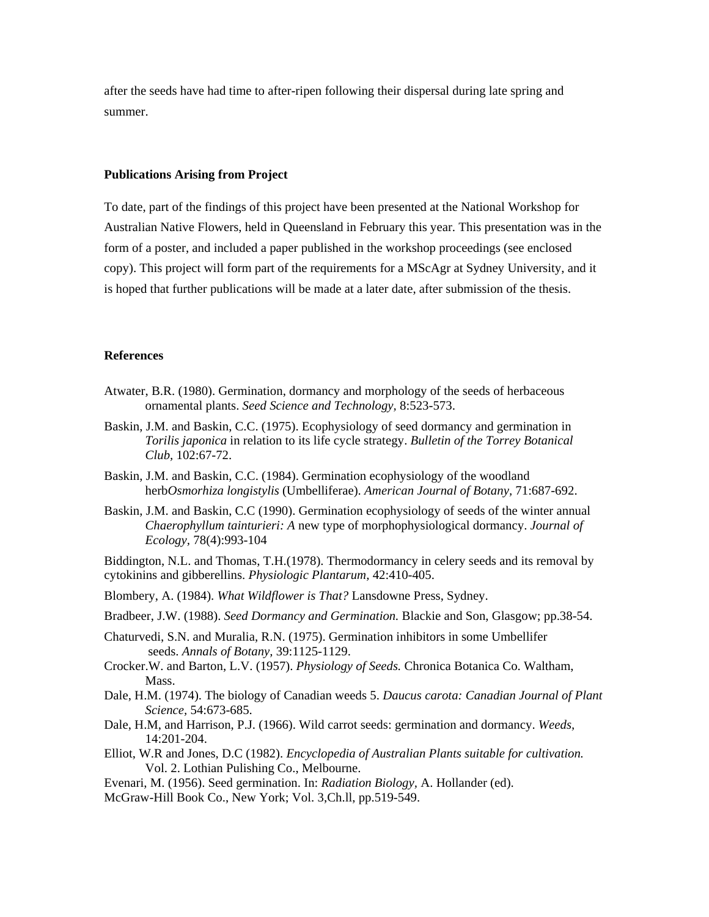after the seeds have had time to after-ripen following their dispersal during late spring and summer.

### **Publications Arising from Project**

To date, part of the findings of this project have been presented at the National Workshop for Australian Native Flowers, held in Queensland in February this year. This presentation was in the form of a poster, and included a paper published in the workshop proceedings (see enclosed copy). This project will form part of the requirements for a MScAgr at Sydney University, and it is hoped that further publications will be made at a later date, after submission of the thesis.

#### **References**

- Atwater, B.R. (1980). Germination, dormancy and morphology of the seeds of herbaceous ornamental plants. *Seed Science and Technology,* 8:523-573.
- Baskin, J.M. and Baskin, C.C. (1975). Ecophysiology of seed dormancy and germination in *Torilis japonica* in relation to its life cycle strategy. *Bulletin of the Torrey Botanical Club,* 102:67-72.
- Baskin, J.M. and Baskin, C.C. (1984). Germination ecophysiology of the woodland herb*Osmorhiza longistylis* (Umbelliferae). *American Journal of Botany,* 71:687-692.
- Baskin, J.M. and Baskin, C.C (1990). Germination ecophysiology of seeds of the winter annual *Chaerophyllum tainturieri: A* new type of morphophysiological dormancy. *Journal of Ecology,* 78(4):993-104

Biddington, N.L. and Thomas, T.H.(1978). Thermodormancy in celery seeds and its removal by cytokinins and gibberellins. *Physiologic Plantarum,* 42:410-405.

Blombery, A. (1984). *What Wildflower is That?* Lansdowne Press, Sydney.

- Bradbeer, J.W. (1988). *Seed Dormancy and Germination.* Blackie and Son, Glasgow; pp.38-54.
- Chaturvedi, S.N. and Muralia, R.N. (1975). Germination inhibitors in some Umbellifer seeds. *Annals of Botany,* 39:1125-1129.
- Crocker.W. and Barton, L.V. (1957). *Physiology of Seeds.* Chronica Botanica Co. Waltham, Mass.
- Dale, H.M. (1974). The biology of Canadian weeds 5. *Daucus carota: Canadian Journal of Plant Science,* 54:673-685.
- Dale, H.M, and Harrison, P.J. (1966). Wild carrot seeds: germination and dormancy. *Weeds,* 14:201-204.
- Elliot, W.R and Jones, D.C (1982). *Encyclopedia of Australian Plants suitable for cultivation.* Vol. 2. Lothian Pulishing Co., Melbourne.
- Evenari, M. (1956). Seed germination. In: *Radiation Biology,* A. Hollander (ed).
- McGraw-Hill Book Co., New York; Vol. 3,Ch.ll, pp.519-549.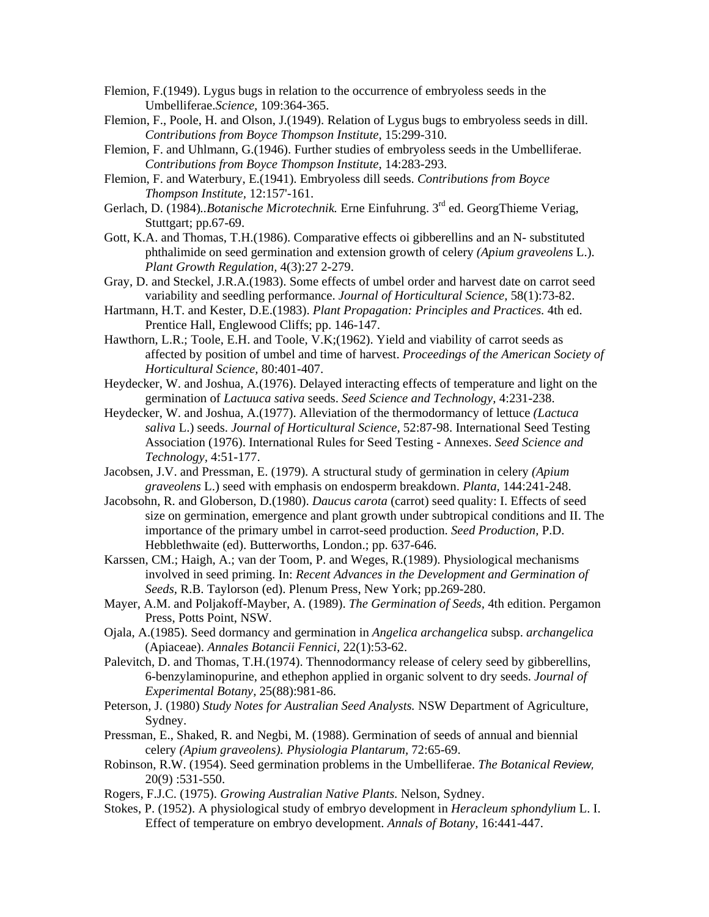- Flemion, F.(1949). Lygus bugs in relation to the occurrence of embryoless seeds in the Umbelliferae.*Science,* 109:364-365.
- Flemion, F., Poole, H. and Olson, J.(1949). Relation of Lygus bugs to embryoless seeds in dill. *Contributions from Boyce Thompson Institute,* 15:299-310.
- Flemion, F. and Uhlmann, G.(1946). Further studies of embryoless seeds in the Umbelliferae. *Contributions from Boyce Thompson Institute,* 14:283-293.
- Flemion, F. and Waterbury, E.(1941). Embryoless dill seeds. *Contributions from Boyce Thompson Institute,* 12:157'-161.
- Gerlach, D. (1984)*..Botanische Microtechnik.* Erne Einfuhrung. 3rd ed. GeorgThieme Veriag, Stuttgart; pp.67-69.
- Gott, K.A. and Thomas, T.H.(1986). Comparative effects oi gibberellins and an N- substituted phthalimide on seed germination and extension growth of celery *(Apium graveolens* L.). *Plant Growth Regulation,* 4(3):27 2-279.
- Gray, D. and Steckel, J.R.A.(1983). Some effects of umbel order and harvest date on carrot seed variability and seedling performance. *Journal of Horticultural Science,* 58(1):73-82.
- Hartmann, H.T. and Kester, D.E.(1983). *Plant Propagation: Principles and Practices.* 4th ed. Prentice Hall, Englewood Cliffs; pp. 146-147.
- Hawthorn, L.R.; Toole, E.H. and Toole, V.K;(1962). Yield and viability of carrot seeds as affected by position of umbel and time of harvest. *Proceedings of the American Society of Horticultural Science,* 80:401-407.
- Heydecker, W. and Joshua, A.(1976). Delayed interacting effects of temperature and light on the germination of *Lactuuca sativa* seeds. *Seed Science and Technology,* 4:231-238.
- Heydecker, W. and Joshua, A.(1977). Alleviation of the thermodormancy of lettuce *(Lactuca saliva* L.) seeds. *Journal of Horticultural Science,* 52:87-98. International Seed Testing Association (1976). International Rules for Seed Testing - Annexes. *Seed Science and Technology,* 4:51-177.
- Jacobsen, J.V. and Pressman, E. (1979). A structural study of germination in celery *(Apium graveolens* L.) seed with emphasis on endosperm breakdown. *Planta,* 144:241-248.
- Jacobsohn, R. and Globerson, D.(1980). *Daucus carota* (carrot) seed quality: I. Effects of seed size on germination, emergence and plant growth under subtropical conditions and II. The importance of the primary umbel in carrot-seed production. *Seed Production,* P.D. Hebblethwaite (ed). Butterworths, London.; pp. 637-646.
- Karssen, CM.; Haigh, A.; van der Toom, P. and Weges, R.(1989). Physiological mechanisms involved in seed priming. In: *Recent Advances in the Development and Germination of Seeds,* R.B. Taylorson (ed). Plenum Press, New York; pp.269-280.
- Mayer, A.M. and Poljakoff-Mayber, A. (1989). *The Germination of Seeds,* 4th edition. Pergamon Press, Potts Point, NSW.
- Ojala, A.(1985). Seed dormancy and germination in *Angelica archangelica* subsp. *archangelica* (Apiaceae). *Annales Botancii Fennici,* 22(1):53-62.
- Palevitch, D. and Thomas, T.H.(1974). Thennodormancy release of celery seed by gibberellins, 6-benzylaminopurine, and ethephon applied in organic solvent to dry seeds. *Journal of Experimental Botany,* 25(88):981-86.
- Peterson, J. (1980) *Study Notes for Australian Seed Analysts.* NSW Department of Agriculture, Sydney.
- Pressman, E., Shaked, R. and Negbi, M. (1988). Germination of seeds of annual and biennial celery *(Apium graveolens). Physiologia Plantarum,* 72:65-69.
- Robinson, R.W. (1954). Seed germination problems in the Umbelliferae. *The Botanical Review,* 20(9) :531-550.
- Rogers, F.J.C. (1975). *Growing Australian Native Plants.* Nelson, Sydney.
- Stokes, P. (1952). A physiological study of embryo development in *Heracleum sphondylium* L. I. Effect of temperature on embryo development. *Annals of Botany,* 16:441-447.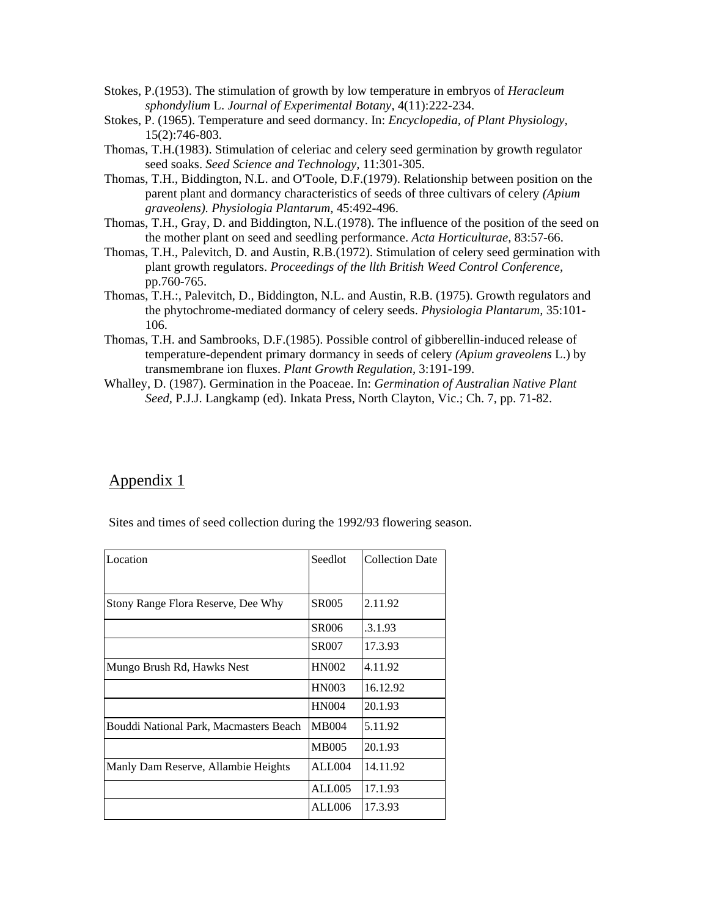- Stokes, P.(1953). The stimulation of growth by low temperature in embryos of *Heracleum sphondylium* L. *Journal of Experimental Botany,* 4(11):222-234.
- Stokes, P. (1965). Temperature and seed dormancy. In: *Encyclopedia, of Plant Physiology,* 15(2):746-803.
- Thomas, T.H.(1983). Stimulation of celeriac and celery seed germination by growth regulator seed soaks. *Seed Science and Technology,* 11:301-305.
- Thomas, T.H., Biddington, N.L. and O'Toole, D.F.(1979). Relationship between position on the parent plant and dormancy characteristics of seeds of three cultivars of celery *(Apium graveolens). Physiologia Plantarum,* 45:492-496.
- Thomas, T.H., Gray, D. and Biddington, N.L.(1978). The influence of the position of the seed on the mother plant on seed and seedling performance. *Acta Horticulturae,* 83:57-66.
- Thomas, T.H., Palevitch, D. and Austin, R.B.(1972). Stimulation of celery seed germination with plant growth regulators. *Proceedings of the llth British Weed Control Conference,* pp.760-765.
- Thomas, T.H.:, Palevitch, D., Biddington, N.L. and Austin, R.B. (1975). Growth regulators and the phytochrome-mediated dormancy of celery seeds. *Physiologia Plantarum,* 35:101- 106.
- Thomas, T.H. and Sambrooks, D.F.(1985). Possible control of gibberellin-induced release of temperature-dependent primary dormancy in seeds of celery *(Apium graveolens* L.) by transmembrane ion fluxes. *Plant Growth Regulation,* 3:191-199.
- Whalley, D. (1987). Germination in the Poaceae. In: *Germination of Australian Native Plant Seed,* P.J.J. Langkamp (ed). Inkata Press, North Clayton, Vic.; Ch. 7, pp. 71-82.

# Appendix 1

Sites and times of seed collection during the 1992/93 flowering season.

| Location                               | Seedlot      | <b>Collection Date</b> |
|----------------------------------------|--------------|------------------------|
| Stony Range Flora Reserve, Dee Why     | <b>SR005</b> | 2.11.92                |
|                                        | SR006        | .3.1.93                |
|                                        | <b>SR007</b> | 17.3.93                |
| Mungo Brush Rd, Hawks Nest             | <b>HN002</b> | 4.11.92                |
|                                        | <b>HN003</b> | 16.12.92               |
|                                        | <b>HN004</b> | 20.1.93                |
| Bouddi National Park, Macmasters Beach | <b>MB004</b> | 5.11.92                |
|                                        | <b>MB005</b> | 20.1.93                |
| Manly Dam Reserve, Allambie Heights    | ALL004       | 14.11.92               |
|                                        | ALL005       | 17.1.93                |
|                                        | ALL006       | 17.3.93                |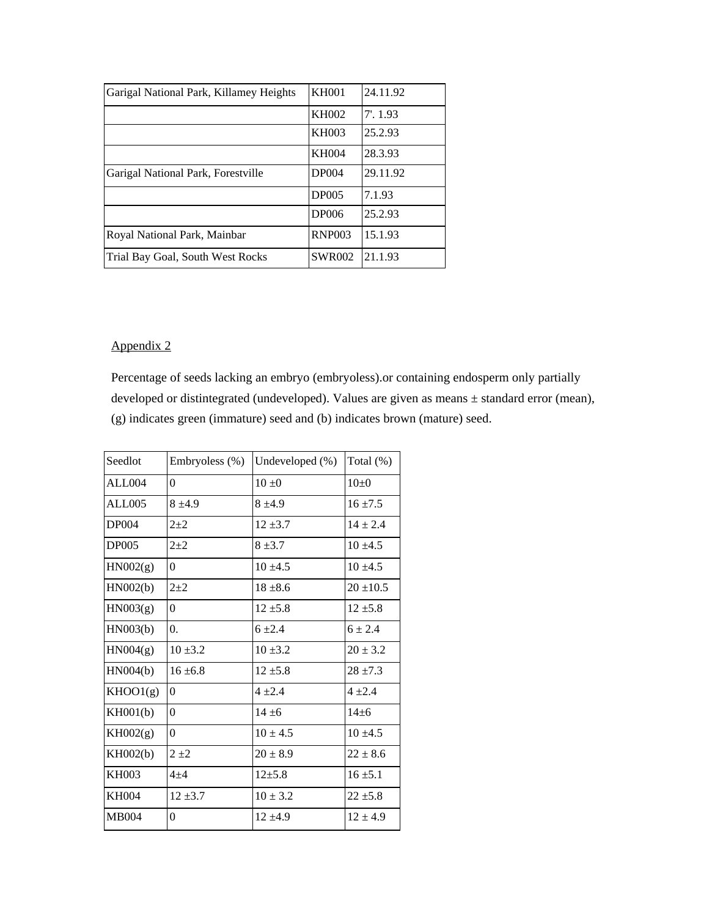| Garigal National Park, Killamey Heights | <b>KH001</b>  | 24.11.92    |
|-----------------------------------------|---------------|-------------|
|                                         | KH002         | $7'$ , 1.93 |
|                                         | KH003         | 25.2.93     |
|                                         | <b>KH004</b>  | 28.3.93     |
| Garigal National Park, Forestville      | <b>DP004</b>  | 29.11.92    |
|                                         | <b>DP005</b>  | 7.1.93      |
|                                         | <b>DP006</b>  | 25.2.93     |
| Royal National Park, Mainbar            | <b>RNP003</b> | 15.1.93     |
| Trial Bay Goal, South West Rocks        | <b>SWR002</b> | 21.1.93     |

# Appendix 2

Percentage of seeds lacking an embryo (embryoless).or containing endosperm only partially developed or distintegrated (undeveloped). Values are given as means ± standard error (mean), (g) indicates green (immature) seed and (b) indicates brown (mature) seed.

| Seedlot      | Embryoless (%) | Undeveloped (%) | Total (%)     |
|--------------|----------------|-----------------|---------------|
| ALL004       | $\theta$       | $10 \pm 0$      | $10+0$        |
| ALL005       | $8 + 4.9$      | $8 + 4.9$       | $16 + 7.5$    |
| <b>DP004</b> | $2 + 2$        | $12 + 3.7$      | $14 \pm 2.4$  |
| <b>DP005</b> | $2 + 2$        | $8 + 3.7$       | $10 + 4.5$    |
| HN002(g)     | $\Omega$       | $10 + 4.5$      | $10 + 4.5$    |
| HNO02(b)     | $2 + 2$        | $18 + 8.6$      | $20 \pm 10.5$ |
| H N003(g)    | $\theta$       | $12 + 5.8$      | $12 \pm 5.8$  |
| HN003(b)     | $\Omega$ .     | $6 + 2.4$       | $6 + 2.4$     |
| HNO04(g)     | $10 + 3.2$     | $10 \pm 3.2$    | $20 \pm 3.2$  |
| HN004(b)     | $16 + 6.8$     | $12 + 5.8$      | $28 + 7.3$    |
| KHOO1(g)     | $\theta$       | $4 + 2.4$       | $4 + 2.4$     |
| KH001(b)     | $\theta$       | $14 + 6$        | $14 + 6$      |
| KH002(g)     | $\theta$       | $10 \pm 4.5$    | $10 \pm 4.5$  |
| KH002(b)     | $2 + 2$        | $20 \pm 8.9$    | $22 \pm 8.6$  |
| <b>KH003</b> | $4 + 4$        | $12 + 5.8$      | $16 \pm 5.1$  |
| <b>KH004</b> | $12 + 3.7$     | $10 \pm 3.2$    | $22 \pm 5.8$  |
| <b>MB004</b> | $\theta$       | $12 + 4.9$      | $12 \pm 4.9$  |